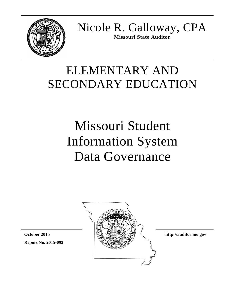

Nicole R. Galloway, CPA **Missouri State Auditor**

# ELEMENTARY AND SECONDARY EDUCATION

# Missouri Student Information System Data Governance



**http://auditor.mo.gov**

**Report No. 2015-093 October 2015**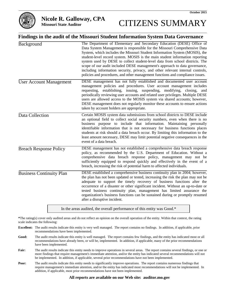

#### **Nicole R. Galloway, CPA**

**Missouri State Auditor**

# CITIZENS SUMMARY

#### **Findings in the audit of the Missouri Student Information System Data Governance**

| Background                      | The Department of Elementary and Secondary Education (DESE) Office of<br>Data System Management is responsible for the Missouri Comprehensive Data<br>System, which includes the Missouri Student Information System (MOSIS), the<br>student-level record system. MOSIS is the main student information reporting<br>system used by DESE to collect student-level data from school districts. The<br>scope of our audit included DESE management's approach to data governance,<br>including information security, privacy, and other relevant internal controls,<br>policies and procedures, and other management functions and compliance issues. |
|---------------------------------|-----------------------------------------------------------------------------------------------------------------------------------------------------------------------------------------------------------------------------------------------------------------------------------------------------------------------------------------------------------------------------------------------------------------------------------------------------------------------------------------------------------------------------------------------------------------------------------------------------------------------------------------------------|
| <b>User Account Management</b>  | DESE management has not fully established and documented user account<br>management policies and procedures. User account management includes<br>requesting, establishing, issuing, suspending, modifying, closing, and<br>periodically reviewing user accounts and related user privileges. Multiple DESE<br>users are allowed access to the MOSIS system via shared accounts; however,<br>DESE management does not regularly monitor these accounts to ensure actions<br>taken by account holders are appropriate.                                                                                                                                |
| Data Collection                 | Certain MOSIS system data submissions from school districts to DESE include<br>an optional field to collect social security numbers, even when there is no<br>business purpose to include that information. Maintaining personally<br>identifiable information that is not necessary for business functions places<br>students at risk should a data breach occur. By limiting this information to the<br>least amount necessary, DESE may limit potential negative consequences in the<br>event of a data breach.                                                                                                                                  |
| <b>Breach Response Policy</b>   | DESE management has not established a comprehensive data breach response<br>policy, as recommended by the U.S. Department of Education. Without a<br>comprehensive data breach response policy, management may not be<br>sufficiently equipped to respond quickly and effectively in the event of a<br>breach, increasing the risk of potential harm to affected individuals.                                                                                                                                                                                                                                                                       |
| <b>Business Continuity Plan</b> | DESE established a comprehensive business continuity plan in 2004; however,<br>the plan has not been updated or tested, increasing the risk the plan may not be<br>adequate to support the timely recovery of business functions after the<br>occurrence of a disaster or other significant incident. Without an up-to-date or<br>tested business continuity plan, management has limited assurance the<br>organization's business functions can be sustained during or promptly resumed<br>after a disruptive incident.                                                                                                                            |
|                                 |                                                                                                                                                                                                                                                                                                                                                                                                                                                                                                                                                                                                                                                     |

In the areas audited, the overall performance of this entity was Good.\*

**\***The rating(s) cover only audited areas and do not reflect an opinion on the overall operation of the entity. Within that context, the rating scale indicates the following:

- **Excellent:** The audit results indicate this entity is very well managed. The report contains no findings. In addition, if applicable, prior recommendations have been implemented.
- **Good:** The audit results indicate this entity is well managed. The report contains few findings, and the entity has indicated most or all recommendations have already been, or will be, implemented. In addition, if applicable, many of the prior recommendations have been implemented.
- Fair: The audit results indicate this entity needs to improve operations in several areas. The report contains several findings, or one or more findings that require management's immediate attention, and/or the entity has indicated several recommendations will not be implemented. In addition, if applicable, several prior recommendations have not been implemented.
- **Poor:** The audit results indicate this entity needs to significantly improve operations. The report contains numerous findings that require management's immediate attention, and/or the entity has indicated most recommendations will not be implemented. In addition, if applicable, most prior recommendations have not been implemented.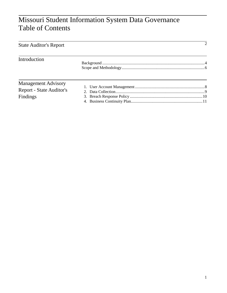# Missouri Student Information System Data Governance Table of Contents

| <b>State Auditor's Report</b> | $\mathcal{D}$ |
|-------------------------------|---------------|
| Introduction                  |               |
|                               |               |
| <b>Management Advisory</b>    |               |
| Report - State Auditor's      |               |
| Findings                      |               |
|                               |               |

 $\overline{2}$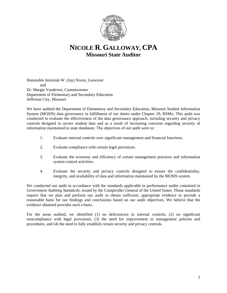

### **NICOLE R. GALLOWAY, CPA Missouri State Auditor**

Honorable Jeremiah W. (Jay) Nixon, Governor and Dr. Margie Vandeven, Commissioner Department of Elementary and Secondary Education Jefferson City, Missouri

We have audited the Department of Elementary and Secondary Education, Missouri Student Information System (MOSIS) data governance in fulfillment of our duties under Chapter 29, RSMo. This audit was conducted to evaluate the effectiveness of the data governance approach, including security and privacy controls designed to secure student data and as a result of increasing concerns regarding security of information maintained in state databases. The objectives of our audit were to:

- 1. Evaluate internal controls over significant management and financial functions.
- 2. Evaluate compliance with certain legal provisions.
- 3. Evaluate the economy and efficiency of certain management practices and information system control activities.
- 4. Evaluate the security and privacy controls designed to ensure the confidentiality, integrity, and availability of data and information maintained by the MOSIS system.

We conducted our audit in accordance with the standards applicable to performance audits contained in *Government Auditing Standards*, issued by the Comptroller General of the United States. Those standards require that we plan and perform our audit to obtain sufficient, appropriate evidence to provide a reasonable basis for our findings and conclusions based on our audit objectives. We believe that the evidence obtained provides such a basis.

For the areas audited, we identified (1) no deficiencies in internal controls, (2) no significant noncompliance with legal provisions, (3) the need for improvement in management policies and procedures, and (4) the need to fully establish certain security and privacy controls.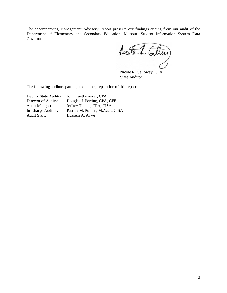The accompanying Management Advisory Report presents our findings arising from our audit of the Department of Elementary and Secondary Education, Missouri Student Information System Data Governance.

Nuote L. Calley

Nicole R. Galloway, CPA State Auditor

The following auditors participated in the preparation of this report:

Deputy State Auditor: John Luetkemeyer, CPA Director of Audits: Douglas J. Porting, CPA, CFE Audit Manager: Jeffrey Thelen, CPA, CISA<br>In-Charge Auditor: Patrick M. Pullins, M.Acct., In-Charge Auditor: Patrick M. Pullins, M.Acct., CISA<br>Audit Staff: Hussein A. Arwe Hussein A. Arwe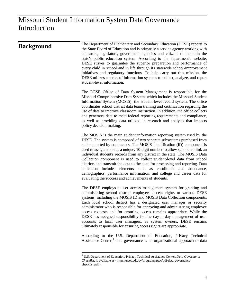| <b>Background</b> | The Department of Elementary and Secondary Education (DESE) reports to<br>the State Board of Education and is primarily a service agency working with<br>educators, legislators, government agencies and citizens to maintain the<br>state's public education system. According to the department's website,<br>DESE strives to guarantee the superior preparation and performance of<br>every child in school and in life through its statewide school-improvement<br>initiatives and regulatory functions. To help carry out this mission, the<br>DESE utilizes a series of information systems to collect, analyze, and report<br>student-level information.                                                                                                |
|-------------------|----------------------------------------------------------------------------------------------------------------------------------------------------------------------------------------------------------------------------------------------------------------------------------------------------------------------------------------------------------------------------------------------------------------------------------------------------------------------------------------------------------------------------------------------------------------------------------------------------------------------------------------------------------------------------------------------------------------------------------------------------------------|
|                   | The DESE Office of Data System Management is responsible for the<br>Missouri Comprehensive Data System, which includes the Missouri Student<br>Information System (MOSIS), the student-level record system. The office<br>coordinates school district data team training and certification regarding the<br>use of data to improve classroom instruction. In addition, the office collects<br>and generates data to meet federal reporting requirements and compliance,<br>as well as providing data utilized in research and analysis that impacts<br>policy decision-making.                                                                                                                                                                                 |
|                   | The MOSIS is the main student information reporting system used by the<br>DESE. The system is composed of two separate subsystems purchased from<br>and supported by contractors. The MOSIS Identification (ID) component is<br>used to assign students a unique, 10-digit number to allow schools to link an<br>individual student's records from any district in the state. The MOSIS Data<br>Collection component is used to collect student-level data from school<br>districts and transmit the data to the state for processing and reporting. Data<br>collection includes elements such as enrollment and attendance,<br>demographics, performance information, and college and career data for<br>evaluating the success and achievements of students. |
|                   | The DESE employs a user access management system for granting and<br>administering school district employees access rights to various DESE<br>systems, including the MOSIS ID and MOSIS Data Collection components.<br>Each local school district has a designated user manager or security<br>administrator who is responsible for approving and administering employee<br>access requests and for ensuring access remains appropriate. While the<br>DESE has assigned responsibility for the day-to-day management of user<br>accounts to local user managers, as system owners, DESE remains<br>ultimately responsible for ensuring access rights are appropriate.                                                                                          |
|                   | According to the U.S. Department of Education, Privacy Technical<br>Assistance Center, <sup>1</sup> data governance is an organizational approach to data                                                                                                                                                                                                                                                                                                                                                                                                                                                                                                                                                                                                      |

<span id="page-5-0"></span> <sup>1</sup> U.S. Department of Education, Privacy Technical Assistance Center, *Data Governance Checklist,* is available at <https://nces.ed.gov/programs/ptac/pdf/data-governancechecklist.pdf>.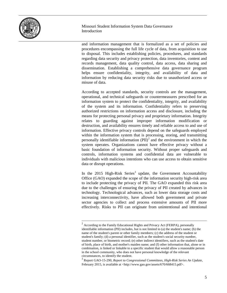

and information management that is formalized as a set of policies and procedures encompassing the full life cycle of data, from acquisition to use to disposal. This includes establishing policies, procedures, and standards regarding data security and privacy protection, data inventories, content and records management, data quality control, data access, data sharing and dissemination. Establishing a comprehensive data governance program helps ensure confidentiality, integrity, and availability of data and information by reducing data security risks due to unauthorized access or misuse of data.

According to accepted standards, security controls are the management, operational, and technical safeguards or countermeasures prescribed for an information system to protect the confidentiality, integrity, and availability of the system and its information. Confidentiality refers to preserving authorized restrictions on information access and disclosure, including the means for protecting personal privacy and proprietary information. Integrity relates to guarding against improper information modification or destruction, and availability ensures timely and reliable access to and use of information. Effective privacy controls depend on the safeguards employed within the information system that is processing, storing, and transmitting personally identifiable information  $(PII)^2$  $(PII)^2$  and the environment in which the system operates. Organizations cannot have effective privacy without a basic foundation of information security. Without proper safeguards and controls, information systems and confidential data are vulnerable to individuals with malicious intentions who can use access to obtain sensitive data or disrupt operations.

In the 2015 High-Risk Series<sup>[3](#page-6-1)</sup> update, the Government Accountability Office (GAO) expanded the scope of the information security high-risk area to include protecting the privacy of PII. The GAO expanded this risk area due to the challenges of ensuring the privacy of PII created by advances in technology. Technological advances, such as lower data storage costs and increasing interconnectivity, have allowed both government and private sector agencies to collect and process extensive amounts of PII more effectively. Risks to PII can originate from unintentional and intentional

<span id="page-6-0"></span> $2$  According to the Family Educational Rights and Privacy Act (FERPA), personally identifiable information (PII) includes, but is not limited to (a) the student's name; (b) the name of the student's parent or other family members; (c) the address of the student or student's family; (d) a personal identifier, such as the student's social security number, student number, or biometric record; (e) other indirect identifiers, such as the student's date of birth, place of birth, and mother's maiden name; and (f) other information that, alone or in combination, is linked or linkable to a specific student that would allow a reasonable person in the school community, who does not have personal knowledge of the relevant circumstances, to identify the student.

<span id="page-6-1"></span><sup>3</sup> Report GAO-15-290, *Report to Congressional Committees, High-Risk Series An Update*, February 2015, is available at <http://www.gao.gov/assets/670/668415.pdf>.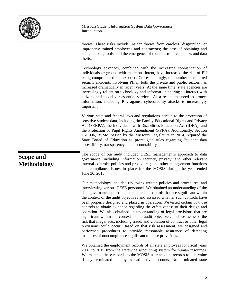| MISSOUR! |
|----------|
|----------|

threats. These risks include insider threats from careless, disgruntled, or improperly trained employees and contractors; the ease of obtaining and using hacking tools; and the emergence of more destructive attacks and data thefts.

Technology advances, combined with the increasing sophistication of individuals or groups with malicious intent, have increased the risk of PII being compromised and exposed. Correspondingly, the number of reported security incidents involving PII in both the private and public sectors has increased dramatically in recent years. At the same time, state agencies are increasingly reliant on technology and information sharing to interact with citizens and to deliver essential services. As a result, the need to protect information, including PII, against cybersecurity attacks is increasingly important.

Various state and federal laws and regulations pertain to the protection of sensitive student data, including the Family Educational Rights and Privacy Act (FERPA), the Individuals with Disabilities Education Act (IDEA), and the Protection of Pupil Rights Amendment (PPRA). Additionally, Section 161.096, RSMo, passed by the Missouri Legislature in 2014, required the State Board of Education to promulgate rules regarding "student data

accessibility, transparency, and accountability." The scope of our audit included DESE management's approach to data

governance, including information security, privacy, and other relevant internal controls; policies and procedures; and other management functions and compliance issues in place for the MOSIS during the year ended June 30, 2015.

Our methodology included reviewing written policies and procedures, and interviewing various DESE personnel. We obtained an understanding of the data governance approach and applicable controls that are significant within the context of the audit objectives and assessed whether such controls have been properly designed and placed in operation. We tested certain of those controls to obtain evidence regarding the effectiveness of their design and operation. We also obtained an understanding of legal provisions that are significant within the context of the audit objectives, and we assessed the risk that illegal acts, including fraud, and violation of contract or other legal provisions could occur. Based on that risk assessment, we designed and performed procedures to provide reasonable assurance of detecting instances of noncompliance significant to those provisions.

We obtained the employment records of all state employees for fiscal years 2001 to 2015 from the statewide accounting system for human resources. We matched these records to the MOSIS user account records to determine if any terminated employees had active accounts. No terminated state

### **Scope and Methodology**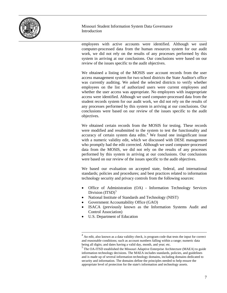

employees with active accounts were identified. Although we used computer-processed data from the human resources system for our audit work, we did not rely on the results of any processes performed by this system in arriving at our conclusions. Our conclusions were based on our review of the issues specific to the audit objectives.

We obtained a listing of the MOSIS user account records from the user access management system for two school districts the State Auditor's office was currently auditing. We asked the selected districts to verify whether employees on the list of authorized users were current employees and whether the user access was appropriate. No employees with inappropriate access were identified. Although we used computer-processed data from the student records system for our audit work, we did not rely on the results of any processes performed by this system in arriving at our conclusions. Our conclusions were based on our review of the issues specific to the audit objectives.

We obtained certain records from the MOSIS for testing. These records were modified and resubmitted to the system to test the functionality and accuracy of certain system data edits. [4](#page-8-0) We found one insignificant issue with a numeric validity edit, which we discussed with DESE management who promptly had the edit corrected. Although we used computer-processed data from the MOSIS, we did not rely on the results of any processes performed by this system in arriving at our conclusions. Our conclusions were based on our review of the issues specific to the audit objectives.

We based our evaluation on accepted state, federal, and international standards; policies and procedures; and best practices related to information technology security and privacy controls from the following sources:

- Office of Administration (OA) Information Technology Services Division  $(TTSD)^5$  $(TTSD)^5$
- National Institute of Standards and Technology (NIST)
- Government Accountability Office (GAO)
- ISACA (previously known as the Information Systems Audit and Control Association)
- U.S. Department of Education

<span id="page-8-0"></span> $4$  An edit, also known as a data validity check, is program code that tests the input for correct and reasonable conditions; such as account numbers falling within a range; numeric data being all digits; and dates having a valid day, month, and year; etc.

<span id="page-8-1"></span> $<sup>5</sup>$  The OA-ITSD established the Missouri Adaptive Enterprise Architecture (MAEA) to guide</sup> information technology decisions. The MAEA includes standards, policies, and guidelines and is made up of several information technology domains, including domains dedicated to security and information. The domains define the principles needed to help ensure the appropriate level of protection for the state's information and technology assets.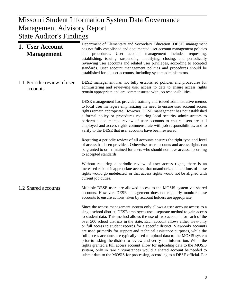#### $\mathbf{W}$  Report Management Advisory Report Missouri Student Information System Data Governance State Auditor's Findings

| 1. User Account<br><b>Management</b>    | Department of Elementary and Secondary Education (DESE) management<br>has not fully established and documented user account management policies<br>procedures. User account management includes<br>requesting,<br>and<br>establishing, issuing, suspending, modifying, closing, and periodically<br>reviewing user accounts and related user privileges, according to accepted<br>standards. User account management policies and procedures should be<br>established for all user accounts, including system administrators.                                                                                                                                                                                                                                                                                                                                                               |
|-----------------------------------------|---------------------------------------------------------------------------------------------------------------------------------------------------------------------------------------------------------------------------------------------------------------------------------------------------------------------------------------------------------------------------------------------------------------------------------------------------------------------------------------------------------------------------------------------------------------------------------------------------------------------------------------------------------------------------------------------------------------------------------------------------------------------------------------------------------------------------------------------------------------------------------------------|
| 1.1 Periodic review of user<br>accounts | DESE management has not fully established policies and procedures for<br>administering and reviewing user access to data to ensure access rights<br>remain appropriate and are commensurate with job responsibilities.                                                                                                                                                                                                                                                                                                                                                                                                                                                                                                                                                                                                                                                                      |
|                                         | DESE management has provided training and issued administrative memos<br>to local user managers emphasizing the need to ensure user account access<br>rights remain appropriate. However, DESE management has not established<br>a formal policy or procedures requiring local security administrators to<br>perform a documented review of user accounts to ensure users are still<br>employed and access rights commensurate with job responsibilities, and to<br>verify to the DESE that user accounts have been reviewed.                                                                                                                                                                                                                                                                                                                                                               |
|                                         | Requiring a periodic review of all accounts ensures the right type and level<br>of access has been provided. Otherwise, user accounts and access rights can<br>be granted to or maintained for users who should not have access, according<br>to accepted standards.                                                                                                                                                                                                                                                                                                                                                                                                                                                                                                                                                                                                                        |
|                                         | Without requiring a periodic review of user access rights, there is an<br>increased risk of inappropriate access, that unauthorized alterations of these<br>rights would go undetected, or that access rights would not be aligned with<br>current job duties.                                                                                                                                                                                                                                                                                                                                                                                                                                                                                                                                                                                                                              |
| 1.2 Shared accounts                     | Multiple DESE users are allowed access to the MOSIS system via shared<br>accounts. However, DESE management does not regularly monitor these<br>accounts to ensure actions taken by account holders are appropriate.                                                                                                                                                                                                                                                                                                                                                                                                                                                                                                                                                                                                                                                                        |
|                                         | Since the access management system only allows a user account access to a<br>single school district, DESE employees use a separate method to gain access<br>to student data. This method allows the use of two accounts for each of the<br>over 500 school districts in the state. Each account allows either view-only<br>or full access to student records for a specific district. View-only accounts<br>are used primarily for support and technical assistance purposes, while the<br>full access accounts are typically used to upload data to the MOSIS system<br>prior to asking the district to review and verify the information. While the<br>rights granted a full access account allow for uploading data to the MOSIS<br>system, only in rare circumstances would a shared account be needed to<br>submit data to the MOSIS for processing, according to a DESE official. For |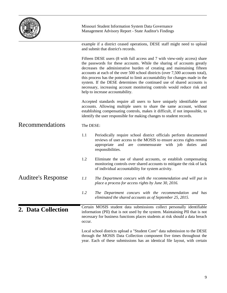|                           |                                                                                                                                                                                                                                                                                                                                                                                                                                                                                                                                                                                              | Missouri Student Information System Data Governance<br>Management Advisory Report - State Auditor's Findings                                                                                                                                                                                             |  |
|---------------------------|----------------------------------------------------------------------------------------------------------------------------------------------------------------------------------------------------------------------------------------------------------------------------------------------------------------------------------------------------------------------------------------------------------------------------------------------------------------------------------------------------------------------------------------------------------------------------------------------|----------------------------------------------------------------------------------------------------------------------------------------------------------------------------------------------------------------------------------------------------------------------------------------------------------|--|
|                           | example if a district ceased operations, DESE staff might need to upload<br>and submit that district's records.                                                                                                                                                                                                                                                                                                                                                                                                                                                                              |                                                                                                                                                                                                                                                                                                          |  |
|                           | Fifteen DESE users (8 with full access and 7 with view-only access) share<br>the passwords for these accounts. While the sharing of accounts greatly<br>decreases the administrative burden of creating and maintaining fifteen<br>accounts at each of the over 500 school districts (over 7,500 accounts total),<br>this process has the potential to limit accountability for changes made in the<br>system. If the DESE determines the continued use of shared accounts is<br>necessary, increasing account monitoring controls would reduce risk and<br>help to increase accountability. |                                                                                                                                                                                                                                                                                                          |  |
|                           |                                                                                                                                                                                                                                                                                                                                                                                                                                                                                                                                                                                              | Accepted standards require all users to have uniquely identifiable user<br>accounts. Allowing multiple users to share the same account, without<br>establishing compensating controls, makes it difficult, if not impossible, to<br>identify the user responsible for making changes to student records. |  |
| Recommendations           | The DESE:                                                                                                                                                                                                                                                                                                                                                                                                                                                                                                                                                                                    |                                                                                                                                                                                                                                                                                                          |  |
|                           | 1.1                                                                                                                                                                                                                                                                                                                                                                                                                                                                                                                                                                                          | Periodically require school district officials perform documented<br>reviews of user access to the MOSIS to ensure access rights remain<br>appropriate<br>and<br>commensurate<br>with job<br>duties<br>are<br>and<br>responsibilities.                                                                   |  |
|                           | 1.2                                                                                                                                                                                                                                                                                                                                                                                                                                                                                                                                                                                          | Eliminate the use of shared accounts, or establish compensating<br>monitoring controls over shared accounts to mitigate the risk of lack<br>of individual accountability for system activity.                                                                                                            |  |
| <b>Auditee's Response</b> | 1.1                                                                                                                                                                                                                                                                                                                                                                                                                                                                                                                                                                                          | The Department concurs with the recommendation and will put in<br>place a process for access rights by June 30, 2016.                                                                                                                                                                                    |  |
|                           | 1.2                                                                                                                                                                                                                                                                                                                                                                                                                                                                                                                                                                                          | The Department concurs with the recommendation and has<br>eliminated the shared accounts as of September 25, 2015.                                                                                                                                                                                       |  |
| 2. Data Collection        | occur.                                                                                                                                                                                                                                                                                                                                                                                                                                                                                                                                                                                       | Certain MOSIS student data submissions collect personally identifiable<br>information (PII) that is not used by the system. Maintaining PII that is not<br>necessary for business functions places students at risk should a data breach                                                                 |  |
|                           |                                                                                                                                                                                                                                                                                                                                                                                                                                                                                                                                                                                              | Local school districts upload a "Student Core" data submission to the DESE<br>through the MOSIS Data Collection component five times throughout the<br>year. Each of these submissions has an identical file layout, with certain                                                                        |  |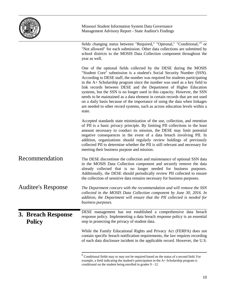

Missouri Student Information System Data Governance Management Advisory Report - State Auditor's Findings

fields changing status between "Required," "Optional," "Conditional,"[6](#page-11-0) or "Not allowed" for each submission. Other data collections are submitted by school districts to the MOSIS Data Collection component throughout the year as well. One of the optional fields collected by the DESE during the MOSIS "Student Core" submission is a student's Social Security Number (SSN). According to DESE staff, the number was required for students participating in the A+ Scholarship program since the number was used as a key field to link records between DESE and the Department of Higher Education systems, but the SSN is no longer used in this capacity. However, the SSN needs to be maintained as a data element in certain records that are not used on a daily basis because of the importance of using the data when linkages are needed to other record systems, such as across education levels within a state. Accepted standards state minimization of the use, collection, and retention of PII is a basic privacy principle. By limiting PII collections to the least amount necessary to conduct its mission, the DESE may limit potential negative consequences in the event of a data breach involving PII. In addition, organizations should regularly review holdings of previously collected PII to determine whether the PII is still relevant and necessary for meeting their business purpose and mission. The DESE discontinue the collection and maintenance of optional SSN data in the MOSIS Data Collection component and securely remove the data already collected that is no longer needed for business purposes. Additionally, the DESE should periodically review PII collected to ensure the collection of sensitive data remains necessary for business purposes. *The Department concurs with the recommendation and will remove the SSN collected in the MOSIS Data Collection component by June 30, 2016. In addition, the Department will ensure that the PII collected is needed for business purposes.* DESE management has not established a comprehensive data breach response policy. Implementing a data breach response policy is an essential step in protecting the privacy of student data. While the Family Educational Rights and Privacy Act (FERPA) does not contain specific breach notification requirements, the law requires recording of each data disclosure incident in the applicable record. However, the U.S. Recommendation Auditee's Response **3. Breach Response Policy**

<span id="page-11-0"></span> $6$  Conditional fields may or may not be required based on the status of a second field. For example, a field indicating the student's participation in the A+ Scholarship program is conditional on the student being enrolled in grades 9 - 12.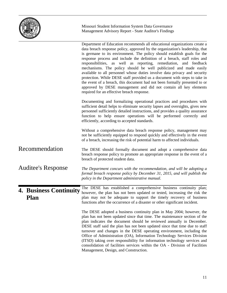

Missouri Student Information System Data Governance Management Advisory Report - State Auditor's Findings

|                                       | Department of Education recommends all educational organizations create a<br>data breach response policy, approved by the organization's leadership, that<br>is germane to its environment. The policy should establish goals for the<br>response process and include the definition of a breach, staff roles and<br>responsibilities, as well as reporting, remediation, and feedback<br>mechanisms. The policy should be well publicized and made easily<br>available to all personnel whose duties involve data privacy and security<br>protection. While DESE staff provided us a document with steps to take in<br>the event of a breach, this document had not been formally presented to or<br>approved by DESE management and did not contain all key elements<br>required for an effective breach response. |
|---------------------------------------|----------------------------------------------------------------------------------------------------------------------------------------------------------------------------------------------------------------------------------------------------------------------------------------------------------------------------------------------------------------------------------------------------------------------------------------------------------------------------------------------------------------------------------------------------------------------------------------------------------------------------------------------------------------------------------------------------------------------------------------------------------------------------------------------------------------------|
|                                       | Documenting and formalizing operational practices and procedures with<br>sufficient detail helps to eliminate security lapses and oversights, gives new<br>personnel sufficiently detailed instructions, and provides a quality assurance<br>function to help ensure operations will be performed correctly and<br>efficiently, according to accepted standards.                                                                                                                                                                                                                                                                                                                                                                                                                                                     |
|                                       | Without a comprehensive data breach response policy, management may<br>not be sufficiently equipped to respond quickly and effectively in the event<br>of a breach, increasing the risk of potential harm to affected individuals.                                                                                                                                                                                                                                                                                                                                                                                                                                                                                                                                                                                   |
| Recommendation                        | The DESE should formally document and adopt a comprehensive data<br>breach response policy to promote an appropriate response in the event of a<br>breach of protected student data.                                                                                                                                                                                                                                                                                                                                                                                                                                                                                                                                                                                                                                 |
| <b>Auditee's Response</b>             | The Department concurs with the recommendation, and will be adopting a<br>formal breach response policy by December 31, 2015, and will publish the<br>policy in the Department administrative manual.                                                                                                                                                                                                                                                                                                                                                                                                                                                                                                                                                                                                                |
| <b>4. Business Continuity</b><br>Plan | The DESE has established a comprehensive business continuity plan;<br>however, the plan has not been updated or tested, increasing the risk the<br>plan may not be adequate to support the timely recovery of business<br>functions after the occurrence of a disaster or other significant incident.                                                                                                                                                                                                                                                                                                                                                                                                                                                                                                                |
|                                       | The DESE adopted a business continuity plan in May 2004; however, the<br>plan has not been updated since that time. The maintenance section of the<br>plan indicates the document should be reviewed annually in December.<br>DESE staff said the plan has not been updated since that time due to staff<br>turnover and changes in the DESE operating environment, including the<br>Office of Administration (OA), Information Technology Services Division<br>(ITSD) taking over responsibility for information technology services and<br>consolidation of facilities services within the OA - Division of Facilities<br>Management, Design, and Construction.                                                                                                                                                    |